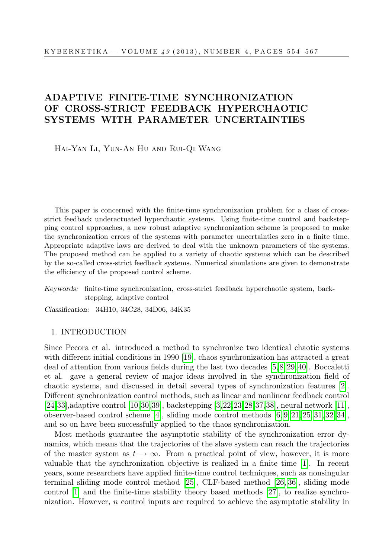# ADAPTIVE FINITE-TIME SYNCHRONIZATION OF CROSS-STRICT FEEDBACK HYPERCHAOTIC SYSTEMS WITH PARAMETER UNCERTAINTIES

Hai-Yan Li, Yun-An Hu and Rui-Qi Wang

This paper is concerned with the finite-time synchronization problem for a class of crossstrict feedback underactuated hyperchaotic systems. Using finite-time control and backstepping control approaches, a new robust adaptive synchronization scheme is proposed to make the synchronization errors of the systems with parameter uncertainties zero in a finite time. Appropriate adaptive laws are derived to deal with the unknown parameters of the systems. The proposed method can be applied to a variety of chaotic systems which can be described by the so-called cross-strict feedback systems. Numerical simulations are given to demonstrate the efficiency of the proposed control scheme.

Keywords: finite-time synchronization, cross-strict feedback hyperchaotic system, backstepping, adaptive control

Classification: 34H10, 34C28, 34D06, 34K35

## 1. INTRODUCTION

Since Pecora et al. introduced a method to synchronize two identical chaotic systems with different initial conditions in 1990 [\[19\]](#page-12-0), chaos synchronization has attracted a great deal of attention from various fields during the last two decades [\[5,](#page-11-0) [8,](#page-11-1) [29,](#page-13-0) [40\]](#page-13-1). Boccaletti et al. gave a general review of major ideas involved in the synchronization field of chaotic systems, and discussed in detail several types of synchronization features [\[2\]](#page-11-2). Different synchronization control methods, such as linear and nonlinear feedback control [\[24,](#page-12-1)[33\]](#page-13-2),adaptive control [\[10,](#page-12-2)[30,](#page-13-3)[39\]](#page-13-4), backstepping [\[3,](#page-11-3)[22,](#page-12-3)[23,](#page-12-4)[28,](#page-13-5)[37,](#page-13-6)[38\]](#page-13-7), neural network [\[11\]](#page-12-5), observer-based control scheme [\[4\]](#page-11-4), sliding mode control methods [\[6,](#page-11-5) [9,](#page-12-6) [21,](#page-12-7) [25,](#page-12-8) [31,](#page-13-8) [32,](#page-13-9) [34\]](#page-13-10), and so on have been successfully applied to the chaos synchronization.

Most methods guarantee the asymptotic stability of the synchronization error dynamics, which means that the trajectories of the slave system can reach the trajectories of the master system as  $t \to \infty$ . From a practical point of view, however, it is more valuable that the synchronization objective is realized in a finite time [\[1\]](#page-11-6). In recent years, some researchers have applied finite-time control techniques, such as nonsingular terminal sliding mode control method [\[25\]](#page-12-8), CLF-based method [\[26,](#page-12-9) [36\]](#page-13-11), sliding mode control [\[1\]](#page-11-6) and the finite-time stability theory based methods [\[27\]](#page-12-10), to realize synchronization. However,  $n$  control inputs are required to achieve the asymptotic stability in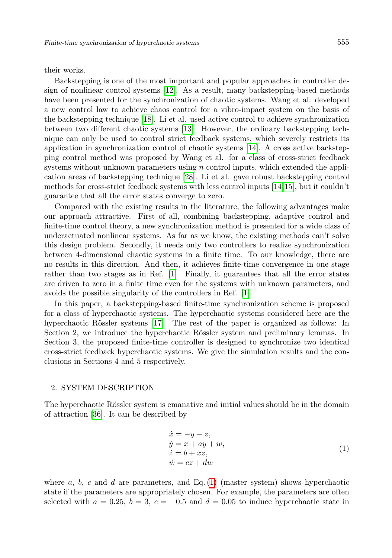#### their works.

Backstepping is one of the most important and popular approaches in controller design of nonlinear control systems [\[12\]](#page-12-11). As a result, many backstepping-based methods have been presented for the synchronization of chaotic systems. Wang et al. developed a new control law to achieve chaos control for a vibro-impact system on the basis of the backstepping technique [\[18\]](#page-12-12). Li et al. used active control to achieve synchronization between two different chaotic systems [\[13\]](#page-12-13). However, the ordinary backstepping technique can only be used to control strict feedback systems, which severely restricts its application in synchronization control of chaotic systems [\[14\]](#page-12-14). A cross active backstepping control method was proposed by Wang et al. for a class of cross-strict feedback systems without unknown parameters using  $n$  control inputs, which extended the application areas of backstepping technique [\[28\]](#page-13-5). Li et al. gave robust backstepping control methods for cross-strict feedback systems with less control inputs [\[14,](#page-12-14)[15\]](#page-12-15), but it couldn't guarantee that all the error states converge to zero.

Compared with the existing results in the literature, the following advantages make our approach attractive. First of all, combining backstepping, adaptive control and finite-time control theory, a new synchronization method is presented for a wide class of underactuated nonlinear systems. As far as we know, the existing methods can't solve this design problem. Secondly, it needs only two controllers to realize synchronization between 4-dimensional chaotic systems in a finite time. To our knowledge, there are no results in this direction. And then, it achieves finite-time convergence in one stage rather than two stages as in Ref. [\[1\]](#page-11-6). Finally, it guarantees that all the error states are driven to zero in a finite time even for the systems with unknown parameters, and avoids the possible singularity of the controllers in Ref. [\[1\]](#page-11-6).

In this paper, a backstepping-based finite-time synchronization scheme is proposed for a class of hyperchaotic systems. The hyperchaotic systems considered here are the hyperchaotic Rössler systems [\[17\]](#page-12-16). The rest of the paper is organized as follows: In Section 2, we introduce the hyperchaotic Rössler system and preliminary lemmas. In Section 3, the proposed finite-time controller is designed to synchronize two identical cross-strict feedback hyperchaotic systems. We give the simulation results and the conclusions in Sections 4 and 5 respectively.

# 2. SYSTEM DESCRIPTION

The hyperchaotic Rössler system is emanative and initial values should be in the domain of attraction [\[36\]](#page-13-11). It can be described by

<span id="page-1-0"></span>
$$
\begin{aligned}\n\dot{x} &= -y - z, \\
\dot{y} &= x + ay + w, \\
\dot{z} &= b + xz, \\
\dot{w} &= cz + dw\n\end{aligned}
$$
\n(1)

where  $a, b, c$  and  $d$  are parameters, and Eq. [\(1\)](#page-1-0) (master system) shows hyperchaotic state if the parameters are appropriately chosen. For example, the parameters are often selected with  $a = 0.25$ ,  $b = 3$ ,  $c = -0.5$  and  $d = 0.05$  to induce hyperchaotic state in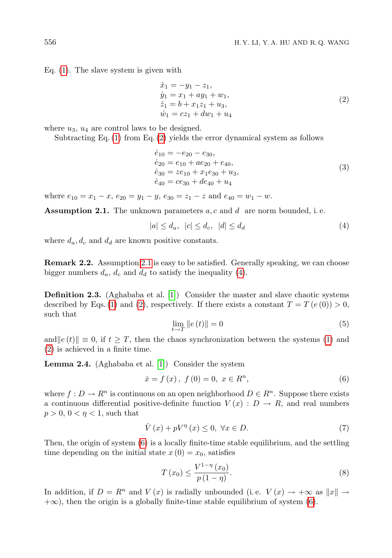Eq. [\(1\)](#page-1-0). The slave system is given with

<span id="page-2-0"></span>
$$
\begin{aligned}\n\dot{x}_1 &= -y_1 - z_1, \\
\dot{y}_1 &= x_1 + ay_1 + w_1, \\
\dot{z}_1 &= b + x_1 z_1 + u_3, \\
\dot{w}_1 &= cz_1 + dw_1 + u_4\n\end{aligned} \tag{2}
$$

where  $u_3$ ,  $u_4$  are control laws to be designed.

Subtracting Eq. [\(1\)](#page-1-0) from Eq. [\(2\)](#page-2-0) yields the error dynamical system as follows

$$
\begin{aligned}\n\dot{e}_{10} &= -e_{20} - e_{30}, \\
\dot{e}_{20} &= e_{10} + ae_{20} + e_{40}, \\
\dot{e}_{30} &= ze_{10} + x_1 e_{30} + u_3, \\
\dot{e}_{40} &= ce_{30} + de_{40} + u_4\n\end{aligned} \tag{3}
$$

where  $e_{10} = x_1 - x$ ,  $e_{20} = y_1 - y$ ,  $e_{30} = z_1 - z$  and  $e_{40} = w_1 - w$ .

<span id="page-2-1"></span>**Assumption 2.1.** The unknown parameters  $a, c$  and  $d$  are norm bounded, i.e.

<span id="page-2-2"></span>
$$
|a| \le d_a, \quad |c| \le d_c, \quad |d| \le d_d \tag{4}
$$

where  $d_a, d_c$  and  $d_d$  are known positive constants.

**Remark 2.2.** Assumption [2.1](#page-2-1) is easy to be satisfied. Generally speaking, we can choose bigger numbers  $d_a$ ,  $d_c$  and  $d_d$  to satisfy the inequality [\(4\)](#page-2-2).

Definition 2.3. (Aghababa et al. [\[1\]](#page-11-6)) Consider the master and slave chaotic systems described by Eqs. [\(1\)](#page-1-0) and [\(2\)](#page-2-0), respectively. If there exists a constant  $T = T(e(0)) > 0$ , such that

$$
\lim_{t \to T} \|e(t)\| = 0 \tag{5}
$$

and  $||e(t)|| \equiv 0$ , if  $t \geq T$ , then the chaos synchronization between the systems [\(1\)](#page-1-0) and [\(2\)](#page-2-0) is achieved in a finite time.

<span id="page-2-4"></span>Lemma 2.4. (Aghababa et al. [\[1\]](#page-11-6)) Consider the system

<span id="page-2-3"></span>
$$
\dot{x} = f(x), \ f(0) = 0, \ x \in R^n,
$$
\n(6)

where  $f: D \to R^n$  is continuous on an open neighborhood  $D \in R^n$ . Suppose there exists a continuous differential positive-definite function  $V(x): D \to R$ , and real numbers  $p > 0$ ,  $0 < \eta < 1$ , such that

$$
\dot{V}(x) + pV^{\eta}(x) \le 0, \ \forall x \in D. \tag{7}
$$

Then, the origin of system  $(6)$  is a locally finite-time stable equilibrium, and the settling time depending on the initial state  $x(0) = x_0$ , satisfies

$$
T(x_0) \le \frac{V^{1-\eta}(x_0)}{p(1-\eta)}.
$$
\n(8)

In addition, if  $D = R^n$  and  $V(x)$  is radially unbounded (i.e.  $V(x) \rightarrow +\infty$  as  $||x|| \rightarrow$  $+\infty$ ), then the origin is a globally finite-time stable equilibrium of system [\(6\)](#page-2-3).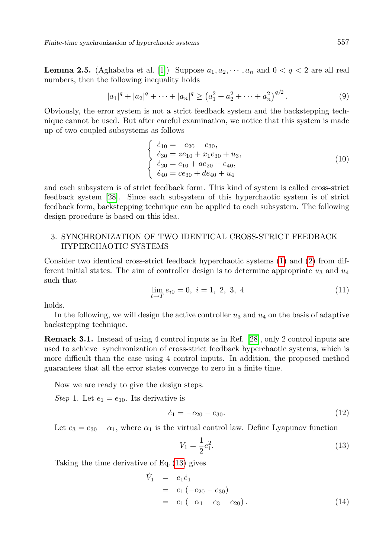<span id="page-3-2"></span>**Lemma 2.5.** (Aghababa et al. [\[1\]](#page-11-6)) Suppose  $a_1, a_2, \dots, a_n$  and  $0 < q < 2$  are all real numbers, then the following inequality holds

$$
|a_1|^q + |a_2|^q + \dots + |a_n|^q \ge (a_1^2 + a_2^2 + \dots + a_n^2)^{q/2}.
$$
 (9)

Obviously, the error system is not a strict feedback system and the backstepping technique cannot be used. But after careful examination, we notice that this system is made up of two coupled subsystems as follows

$$
\begin{cases}\n\dot{e}_{10} = -e_{20} - e_{30}, \\
\dot{e}_{30} = ze_{10} + x_1 e_{30} + u_3, \\
\dot{e}_{20} = e_{10} + ae_{20} + e_{40}, \\
\dot{e}_{40} = ce_{30} + de_{40} + u_4\n\end{cases}
$$
\n(10)

and each subsystem is of strict feedback form. This kind of system is called cross-strict feedback system [\[28\]](#page-13-5). Since each subsystem of this hyperchaotic system is of strict feedback form, backstepping technique can be applied to each subsystem. The following design procedure is based on this idea.

# 3. SYNCHRONIZATION OF TWO IDENTICAL CROSS-STRICT FEEDBACK HYPERCHAOTIC SYSTEMS

Consider two identical cross-strict feedback hyperchaotic systems [\(1\)](#page-1-0) and [\(2\)](#page-2-0) from different initial states. The aim of controller design is to determine appropriate  $u_3$  and  $u_4$ such that

$$
\lim_{t \to T} e_{i0} = 0, \ i = 1, 2, 3, 4 \tag{11}
$$

holds.

In the following, we will design the active controller  $u_3$  and  $u_4$  on the basis of adaptive backstepping technique.

Remark 3.1. Instead of using 4 control inputs as in Ref. [\[28\]](#page-13-5), only 2 control inputs are used to achieve synchronization of cross-strict feedback hyperchaotic systems, which is more difficult than the case using 4 control inputs. In addition, the proposed method guarantees that all the error states converge to zero in a finite time.

Now we are ready to give the design steps.

Step 1. Let  $e_1 = e_{10}$ . Its derivative is

$$
\dot{e}_1 = -e_{20} - e_{30}.\tag{12}
$$

Let  $e_3 = e_{30} - \alpha_1$ , where  $\alpha_1$  is the virtual control law. Define Lyapunov function

<span id="page-3-0"></span>
$$
V_1 = \frac{1}{2}e_1^2.
$$
\n(13)

Taking the time derivative of Eq. [\(13\)](#page-3-0) gives

<span id="page-3-1"></span>
$$
\dot{V}_1 = e_1 \dot{e}_1 \n= e_1 (-e_{20} - e_{30}) \n= e_1 (-\alpha_1 - e_3 - e_{20}).
$$
\n(14)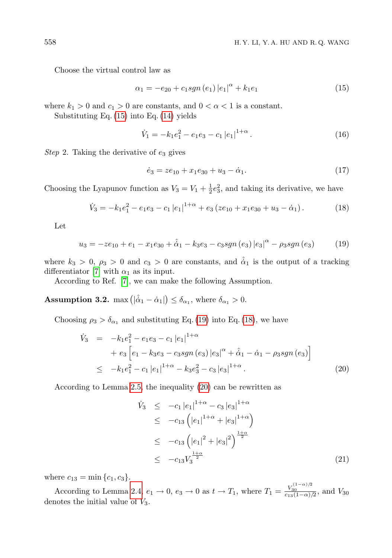Choose the virtual control law as

<span id="page-4-0"></span>
$$
\alpha_1 = -e_{20} + c_1 sgn(e_1) |e_1|^\alpha + k_1 e_1 \tag{15}
$$

where  $k_1 > 0$  and  $c_1 > 0$  are constants, and  $0 < \alpha < 1$  is a constant.

Substituting Eq. [\(15\)](#page-4-0) into Eq. [\(14\)](#page-3-1) yields

$$
\dot{V}_1 = -k_1 e_1^2 - e_1 e_3 - c_1 |e_1|^{1+\alpha}.
$$
\n(16)

Step 2. Taking the derivative of  $e_3$  gives

$$
\dot{e}_3 = ze_{10} + x_1 e_{30} + u_3 - \dot{\alpha}_1. \tag{17}
$$

Choosing the Lyapunov function as  $V_3 = V_1 + \frac{1}{2}e_3^2$ , and taking its derivative, we have

<span id="page-4-2"></span>
$$
\dot{V}_3 = -k_1 e_1^2 - e_1 e_3 - c_1 |e_1|^{1+\alpha} + e_3 (ze_{10} + x_1 e_{30} + u_3 - \dot{\alpha}_1). \tag{18}
$$

Let

<span id="page-4-1"></span>
$$
u_3 = -ze_{10} + e_1 - x_1e_{30} + \hat{\alpha}_1 - k_3e_3 - c_3sgn(e_3) |e_3|^\alpha - \rho_3sgn(e_3)
$$
 (19)

where  $k_3 > 0$ ,  $\rho_3 > 0$  and  $c_3 > 0$  are constants, and  $\hat{\alpha}_1$  is the output of a tracking differentiator [\[7\]](#page-11-7) with  $\alpha_1$  as its input.

According to Ref. [\[7\]](#page-11-7), we can make the following Assumption.

<span id="page-4-4"></span>**Assumption 3.2.** max  $(|\hat{\alpha}_1 - \hat{\alpha}_1|) \leq \delta_{\alpha_1}$ , where  $\delta_{\alpha_1} > 0$ .

Choosing  $\rho_3 > \delta_{\alpha_1}$  and substituting Eq. [\(19\)](#page-4-1) into Eq. [\(18\)](#page-4-2), we have

<span id="page-4-3"></span>
$$
\dot{V}_3 = -k_1 e_1^2 - e_1 e_3 - c_1 |e_1|^{1+\alpha} \n+ e_3 \left[ e_1 - k_3 e_3 - c_3 sgn (e_3) |e_3|^{\alpha} + \hat{\alpha}_1 - \hat{\alpha}_1 - \rho_3 sgn (e_3) \right] \n\leq -k_1 e_1^2 - c_1 |e_1|^{1+\alpha} - k_3 e_3^2 - c_3 |e_3|^{1+\alpha}.
$$
\n(20)

According to Lemma [2.5,](#page-3-2) the inequality [\(20\)](#page-4-3) can be rewritten as

$$
\dot{V}_3 \leq -c_1 |e_1|^{1+\alpha} - c_3 |e_3|^{1+\alpha} \n\leq -c_{13} (|e_1|^{1+\alpha} + |e_3|^{1+\alpha}) \n\leq -c_{13} (|e_1|^2 + |e_3|^2)^{\frac{1+\alpha}{2}} \n\leq -c_{13} V_3^{\frac{1+\alpha}{2}}
$$
\n(21)

where  $c_{13} = \min\{c_1, c_3\}.$ 

According to Lemma [2.4,](#page-2-4)  $e_1 \to 0$ ,  $e_3 \to 0$  as  $t \to T_1$ , where  $T_1 = \frac{V_{30}^{(1-\alpha)/2}}{e_{13}(1-\alpha)/2}$ , and  $V_{30}$ denotes the initial value of  $V_3$ .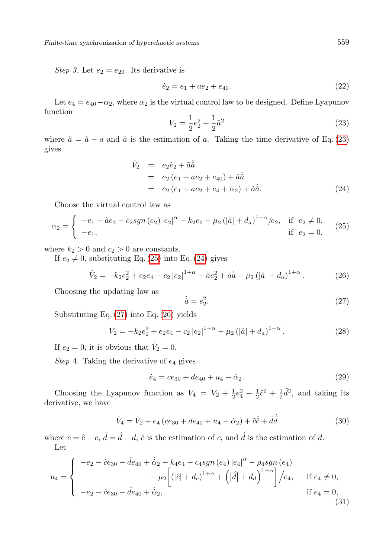Step 3. Let  $e_2 = e_{20}$ . Its derivative is

$$
\dot{e}_2 = e_1 + ae_2 + e_{40}.\tag{22}
$$

Let  $e_4 = e_{40} - \alpha_2$ , where  $\alpha_2$  is the virtual control law to be designed. Define Lyapunov function

<span id="page-5-0"></span>
$$
V_2 = \frac{1}{2}e_2^2 + \frac{1}{2}\tilde{a}^2\tag{23}
$$

where  $\tilde{a} = \hat{a} - a$  and  $\hat{a}$  is the estimation of a. Taking the time derivative of Eq. [\(23\)](#page-5-0) gives

<span id="page-5-2"></span>
$$
\dot{V}_2 = e_2 \dot{e}_2 + \tilde{a} \dot{\tilde{a}} \n= e_2 (e_1 + ae_2 + e_{40}) + \tilde{a} \dot{\tilde{a}} \n= e_2 (e_1 + ae_2 + e_4 + \alpha_2) + \tilde{a} \dot{\tilde{a}}.
$$
\n(24)

Choose the virtual control law as

<span id="page-5-1"></span>
$$
\alpha_2 = \begin{cases}\n-e_1 - \hat{a}e_2 - c_2sgn(e_2)|e_2|^{\alpha} - k_2e_2 - \mu_2(|\hat{a}| + d_a)^{1+\alpha}/e_2, & \text{if } e_2 \neq 0, \\
-e_1, & \text{if } e_2 = 0,\n\end{cases}
$$
\n(25)

where  $k_2 > 0$  and  $c_2 > 0$  are constants.

If  $e_2 \neq 0$ , substituting Eq. [\(25\)](#page-5-1) into Eq. [\(24\)](#page-5-2) gives

<span id="page-5-4"></span>
$$
\dot{V}_2 = -k_2 e_2^2 + e_2 e_4 - c_2 |e_2|^{1+\alpha} - \tilde{a} e_2^2 + \tilde{a} \dot{\tilde{a}} - \mu_2 (|\hat{a}| + d_a)^{1+\alpha}.
$$
 (26)

Choosing the updating law as

<span id="page-5-3"></span>
$$
\dot{\hat{a}} = e_2^2. \tag{27}
$$

Substituting Eq. [\(27\)](#page-5-3) into Eq. [\(26\)](#page-5-4) yields

$$
\dot{V}_2 = -k_2 e_2^2 + e_2 e_4 - c_2 |e_2|^{1+\alpha} - \mu_2 (|\hat{a}| + d_a)^{1+\alpha}.
$$
 (28)

If  $e_2 = 0$ , it is obvious that  $\dot{V}_2 = 0$ .

Step 4. Taking the derivative of  $e_4$  gives

$$
\dot{e}_4 = ce_{30} + de_{40} + u_4 - \dot{\alpha}_2. \tag{29}
$$

Choosing the Lyapunov function as  $V_4 = V_2 + \frac{1}{2}e_4^2 + \frac{1}{2}\tilde{c}^2 + \frac{1}{2}\tilde{d}^2$ , and taking its derivative, we have

<span id="page-5-6"></span>
$$
\dot{V}_4 = \dot{V}_2 + e_4 \left( c e_{30} + d e_{40} + u_4 - \dot{\alpha}_2 \right) + \tilde{c} \dot{\tilde{c}} + \tilde{d} \dot{\tilde{d}} \tag{30}
$$

where  $\tilde{c} = \hat{c} - c$ ,  $\tilde{d} = \hat{d} - d$ ,  $\hat{c}$  is the estimation of c, and  $\hat{d}$  is the estimation of d. Let

<span id="page-5-5"></span>
$$
u_4 = \begin{cases}\n-e_2 - \hat{c}e_{30} - \hat{d}e_{40} + \hat{\alpha}_2 - k_4e_4 - c_4sgn(e_4) |e_4|^{\alpha} - \rho_4sgn(e_4) \\
-\mu_2 \left[ (|\hat{c}| + d_c)^{1+\alpha} + (|\hat{d}| + d_d)^{1+\alpha} \right] / e_4, & \text{if } e_4 \neq 0, \\
-e_2 - \hat{c}e_{30} - \hat{d}e_{40} + \hat{\alpha}_2,\n\end{cases}
$$
\n(31)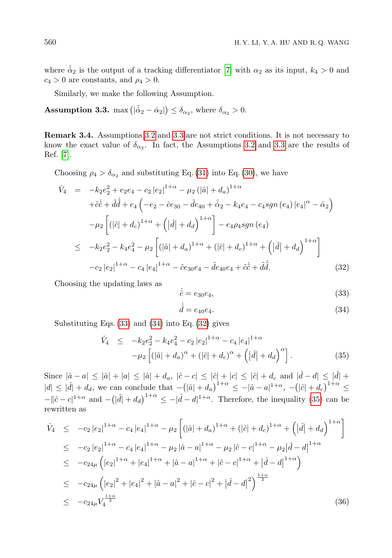where  $\hat{\dot{\alpha}}_2$  is the output of a tracking differentiator [\[7\]](#page-11-7) with  $\alpha_2$  as its input,  $k_4 > 0$  and  $c_4 > 0$  are constants, and  $\rho_4 > 0$ .

Similarly, we make the following Assumption.

<span id="page-6-0"></span>**Assumption 3.3.** max  $\left( |\hat{\alpha}_2 - \hat{\alpha}_2| \right) \leq \delta_{\alpha_2}$ , where  $\delta_{\alpha_2} > 0$ .

Remark 3.4. Assumptions [3.2](#page-4-4) and [3.3](#page-6-0) are not strict conditions. It is not necessary to know the exact value of  $\delta_{\alpha_2}$ . In fact, the Assumptions [3.2](#page-4-4) and [3.3](#page-6-0) are the results of Ref. [\[7\]](#page-11-7).

Choosing  $\rho_4 > \delta_{\alpha_2}$  and substituting Eq. [\(31\)](#page-5-5) into Eq. [\(30\)](#page-5-6), we have

<span id="page-6-3"></span>
$$
\dot{V}_{4} = -k_{2}e_{2}^{2} + e_{2}e_{4} - c_{2}|e_{2}|^{1+\alpha} - \mu_{2}(|\hat{a}| + d_{a})^{1+\alpha} \n+ \tilde{c}\dot{c} + \tilde{d}\dot{d} + e_{4}\left(-e_{2} - \tilde{c}e_{30} - \tilde{d}e_{40} + \hat{\alpha}_{2} - k_{4}e_{4} - c_{4}sgn(e_{4})|e_{4}|^{\alpha} - \dot{\alpha}_{2}\right) \n- \mu_{2}\left[ (|\hat{c}| + d_{c})^{1+\alpha} + (|\hat{d}| + d_{d})^{1+\alpha} \right] - e_{4}\rho_{4}sgn(e_{4}) \n\leq -k_{2}e_{2}^{2} - k_{4}e_{4}^{2} - \mu_{2}\left[ (|\hat{a}| + d_{a})^{1+\alpha} + (|\hat{c}| + d_{c})^{1+\alpha} + (|\hat{d}| + d_{d})^{1+\alpha} \right] \n- c_{2}|e_{2}|^{1+\alpha} - c_{4}|e_{4}|^{1+\alpha} - \tilde{c}e_{30}e_{4} - \tilde{d}e_{40}e_{4} + \tilde{c}\dot{c} + \tilde{d}\dot{d}.
$$
\n(32)

Choosing the updating laws as

<span id="page-6-1"></span>
$$
\dot{\hat{c}} = e_{30}e_4,\tag{33}
$$

<span id="page-6-2"></span>
$$
\dot{\hat{d}} = e_{40}e_4. \tag{34}
$$

Substituting Eqs.  $(33)$  and  $(34)$  into Eq.  $(32)$  gives

<span id="page-6-4"></span>
$$
\dot{V}_4 \leq -k_2 e_2^2 - k_4 e_4^2 - c_2 |e_2|^{1+\alpha} - c_4 |e_4|^{1+\alpha} \n- \mu_2 \left[ (|\hat{a}| + d_a)^{\alpha} + (|\hat{c}| + d_c)^{\alpha} + (|\hat{d}| + d_d)^{\alpha} \right].
$$
\n(35)

Since  $|\hat{a} - a| \leq |\hat{a}| + |a| \leq |\hat{a}| + d_a$ ,  $|\hat{c} - c| \leq |\hat{c}| + |c| \leq |\hat{c}| + d_c$  and  $|\hat{d} - d| \leq |\hat{d}| + d_c$  $|d| \leq |\hat{d}| + d_d$ , we can conclude that  $-(|\hat{a}| + d_a)^{1+\alpha} \leq -|\hat{a}-a|^{1+\alpha}$ ,  $-(|\hat{c}| + d_c)^{1+\alpha} \leq$  $-||\hat{c}-c|^{1+\alpha}$  and  $-(|\hat{d}|+d_d)^{1+\alpha} \leq -|\hat{d}-d|^{1+\alpha}$ . Therefore, the inequality [\(35\)](#page-6-4) can be rewritten as

$$
\dot{V}_4 \leq -c_2 |e_2|^{1+\alpha} - c_4 |e_4|^{1+\alpha} - \mu_2 \left[ (|\hat{a}| + d_a)^{1+\alpha} + (|\hat{c}| + d_c)^{1+\alpha} + \left( |\hat{d}| + d_d \right)^{1+\alpha} \right]
$$
\n
$$
\leq -c_2 |e_2|^{1+\alpha} - c_4 |e_4|^{1+\alpha} - \mu_2 |\hat{a} - a|^{1+\alpha} - \mu_2 |\hat{c} - c|^{1+\alpha} - \mu_2 |\hat{d} - d|^{1+\alpha}
$$
\n
$$
\leq -c_2 a_\mu \left( |e_2|^{1+\alpha} + |e_4|^{1+\alpha} + |\hat{a} - a|^{1+\alpha} + |\hat{c} - c|^{1+\alpha} + |\hat{d} - d|^{1+\alpha} \right)
$$
\n
$$
\leq -c_2 a_\mu \left( |e_2|^2 + |e_4|^2 + |\hat{a} - a|^2 + |\hat{c} - c|^2 + |\hat{d} - d|^2 \right)^{\frac{1+\alpha}{2}}
$$
\n
$$
\leq -c_2 a_\mu V_4^{\frac{1+\alpha}{2}}
$$
\n(36)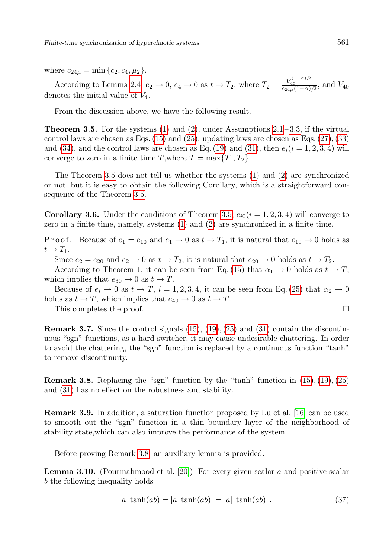where  $c_{24\mu} = \min\{c_2, c_4, \mu_2\}.$ 

According to Lemma [2.4,](#page-2-4)  $e_2 \to 0$ ,  $e_4 \to 0$  as  $t \to T_2$ , where  $T_2 = \frac{V_{40}^{(1-\alpha)/2}}{c_{24\mu}(1-\alpha)/2}$ , and  $V_{40}$ denotes the initial value of  $V_4$ .

<span id="page-7-0"></span>From the discussion above, we have the following result.

**Theorem 3.5.** For the systems  $(1)$  and  $(2)$ , under Assumptions  $2.1 - 3.3$ , if the virtual control laws are chosen as Eqs.  $(15)$  and  $(25)$ , updating laws are chosen as Eqs.  $(27)$ ,  $(33)$ and [\(34\)](#page-6-2), and the control laws are chosen as Eq. [\(19\)](#page-4-1) and [\(31\)](#page-5-5), then  $e_i(i = 1, 2, 3, 4)$  will converge to zero in a finite time T, where  $T = \max\{T_1, T_2\}.$ 

The Theorem [3.5](#page-7-0) does not tell us whether the systems [\(1\)](#page-1-0) and [\(2\)](#page-2-0) are synchronized or not, but it is easy to obtain the following Corollary, which is a straightforward consequence of the Theorem [3.5.](#page-7-0)

**Corollary 3.6.** Under the conditions of Theorem [3.5,](#page-7-0)  $e_{i0}(i = 1, 2, 3, 4)$  will converge to zero in a finite time, namely, systems [\(1\)](#page-1-0) and [\(2\)](#page-2-0) are synchronized in a finite time.

P r o o f. Because of  $e_1 = e_{10}$  and  $e_1 \rightarrow 0$  as  $t \rightarrow T_1$ , it is natural that  $e_{10} \rightarrow 0$  holds as  $t \rightarrow T_1$ .

Since  $e_2 = e_{20}$  and  $e_2 \to 0$  as  $t \to T_2$ , it is natural that  $e_{20} \to 0$  holds as  $t \to T_2$ .

According to Theorem 1, it can be seen from Eq. [\(15\)](#page-4-0) that  $\alpha_1 \to 0$  holds as  $t \to T$ , which implies that  $e_{30} \rightarrow 0$  as  $t \rightarrow T$ .

Because of  $e_i \rightarrow 0$  as  $t \rightarrow T$ ,  $i = 1, 2, 3, 4$ , it can be seen from Eq. [\(25\)](#page-5-1) that  $\alpha_2 \rightarrow 0$ holds as  $t \to T$ , which implies that  $e_{40} \to 0$  as  $t \to T$ .

This completes the proof.  $\Box$ 

<span id="page-7-3"></span>**Remark 3.7.** Since the control signals  $(15)$ ,  $(19)$ ,  $(25)$  and  $(31)$  contain the discontinuous "sgn" functions, as a hard switcher, it may cause undesirable chattering. In order to avoid the chattering, the "sgn" function is replaced by a continuous function "tanh" to remove discontinuity.

<span id="page-7-1"></span>**Remark 3.8.** Replacing the "sgn" function by the "tanh" function in  $(15)$ ,  $(19)$ ,  $(25)$ and [\(31\)](#page-5-5) has no effect on the robustness and stability.

Remark 3.9. In addition, a saturation function proposed by Lu et al. [\[16\]](#page-12-17) can be used to smooth out the "sgn" function in a thin boundary layer of the neighborhood of stability state,which can also improve the performance of the system.

Before proving Remark [3.8,](#page-7-1) an auxiliary lemma is provided.

**Lemma 3.10.** (Pourmahmood et al. [\[20\]](#page-12-18)) For every given scalar a and positive scalar b the following inequality holds

<span id="page-7-2"></span>
$$
a \tanh(ab) = |a \tanh(ab)| = |a| \tanh(ab)|. \tag{37}
$$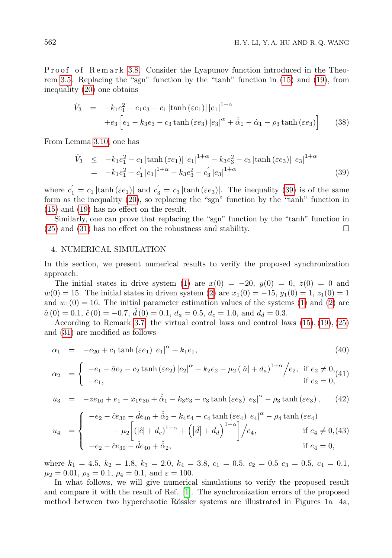Proof of Remark [3.8.](#page-7-1) Consider the Lyapunov function introduced in the Theorem [3.5.](#page-7-0) Replacing the "sgn" function by the "tanh" function in [\(15\)](#page-4-0) and [\(19\)](#page-4-1), from inequality [\(20\)](#page-4-3) one obtains

$$
\dot{V}_3 = -k_1 e_1^2 - e_1 e_3 - c_1 |\tanh(\varepsilon e_1)| |e_1|^{1+\alpha} \n+e_3 \left[ e_1 - k_3 e_3 - c_3 \tanh(\varepsilon e_3) |e_3|^\alpha + \hat{\alpha}_1 - \hat{\alpha}_1 - \rho_3 \tanh(\varepsilon e_3) \right]
$$
\n(38)

From Lemma [3.10,](#page-7-2) one has

<span id="page-8-0"></span>
$$
\dot{V}_3 \leq -k_1 e_1^2 - c_1 |\tanh(\varepsilon e_1)| |e_1|^{1+\alpha} - k_3 e_3^2 - c_3 |\tanh(\varepsilon e_3)| |e_3|^{1+\alpha} \n= -k_1 e_1^2 - c_1' |e_1|^{1+\alpha} - k_3 e_3^2 - c_3' |e_3|^{1+\alpha}
$$
\n(39)

where  $c_1' = c_1 |\tanh(\varepsilon e_1)|$  and  $c_3' = c_3 |\tanh(\varepsilon e_3)|$ . The inequality [\(39\)](#page-8-0) is of the same form as the inequality [\(20\)](#page-4-3), so replacing the "sgn" function by the "tanh" function in [\(15\)](#page-4-0) and [\(19\)](#page-4-1) has no effect on the result.

Similarly, one can prove that replacing the "sgn" function by the "tanh" function in  $(25)$  and  $(31)$  has no effect on the robustness and stability.

### 4. NUMERICAL SIMULATION

In this section, we present numerical results to verify the proposed synchronization approach.

The initial states in drive system [\(1\)](#page-1-0) are  $x(0) = -20$ ,  $y(0) = 0$ ,  $z(0) = 0$  and  $w(0) = 15$ . The initial states in driven system [\(2\)](#page-2-0) are  $x_1(0) = -15$ ,  $y_1(0) = 1$ ,  $z_1(0) = 1$ and  $w_1(0) = 16$ . The initial parameter estimation values of the systems [\(1\)](#page-1-0) and [\(2\)](#page-2-0) are  $\hat{a}(0) = 0.1, \hat{c}(0) = -0.7, \, \hat{d}(0) = 0.1, \, d_a = 0.5, \, d_c = 1.0, \, \text{and} \, d_d = 0.3.$ 

According to Remark [3.7,](#page-7-3) the virtual control laws and control laws  $(15), (19), (25)$  $(15), (19), (25)$  $(15), (19), (25)$  $(15), (19), (25)$  $(15), (19), (25)$ and [\(31\)](#page-5-5) are modified as follows

$$
\alpha_1 = -e_{20} + c_1 \tanh(\varepsilon e_1) |e_1|^\alpha + k_1 e_1, \tag{40}
$$

$$
\alpha_2 = \begin{cases}\n-e_1 - \hat{a}e_2 - c_2 \tanh(\varepsilon e_2) |e_2|^{\alpha} - k_2 e_2 - \mu_2 (|\hat{a}| + d_a)^{1+\alpha} / e_2, & \text{if } e_2 \neq 0, \\
-e_1, & \text{if } e_2 = 0,\n\end{cases}
$$

$$
u_3 = -ze_{10} + e_1 - x_1e_{30} + \hat{\alpha}_1 - k_3e_3 - c_3\tanh(\varepsilon e_3)|e_3|^\alpha - \rho_3\tanh(\varepsilon e_3), \qquad (42)
$$

$$
u_4 = \begin{cases}\n-e_2 - \hat{c}e_{30} - \hat{d}e_{40} + \hat{\alpha}_2 - k_4e_4 - c_4 \tanh(\varepsilon e_4) |e_4|^\alpha - \rho_4 \tanh(\varepsilon e_4) \\
-\mu_2 \left[ (|\hat{c}| + d_c)^{1+\alpha} + (|\hat{d}| + d_d)^{1+\alpha} \right] / e_4, & \text{if } e_4 \neq 0, \text{(43)} \\
-e_2 - \hat{c}e_{30} - \hat{d}e_{40} + \hat{\alpha}_2, & \text{if } e_4 = 0,\n\end{cases}
$$

where  $k_1 = 4.5$ ,  $k_2 = 1.8$ ,  $k_3 = 2.0$ ,  $k_4 = 3.8$ ,  $c_1 = 0.5$ ,  $c_2 = 0.5$   $c_3 = 0.5$ ,  $c_4 = 0.1$ ,  $\mu_2 = 0.01, \rho_3 = 0.1, \rho_4 = 0.1, \text{ and } \varepsilon = 100.$ 

In what follows, we will give numerical simulations to verify the proposed result and compare it with the result of Ref. [\[1\]](#page-11-6). The synchronization errors of the proposed method between two hyperchaotic Rössler systems are illustrated in Figures  $1a-4a$ ,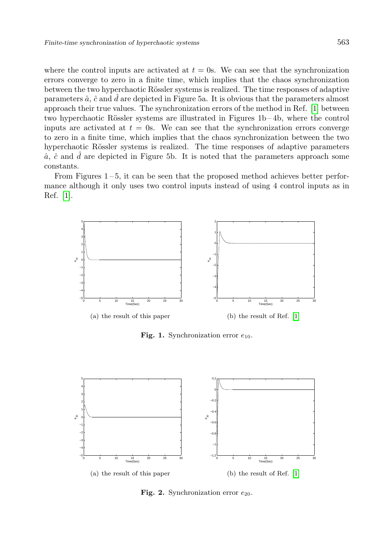where the control inputs are activated at  $t = 0$ s. We can see that the synchronization errors converge to zero in a finite time, which implies that the chaos synchronization between the two hyperchaotic Rössler systems is realized. The time responses of adaptive parameters  $\hat{a}$ ,  $\hat{c}$  and  $\hat{d}$  are depicted in Figure 5a. It is obvious that the parameters almost approach their true values. The synchronization errors of the method in Ref. [\[1\]](#page-11-6) between two hyperchaotic Rössler systems are illustrated in Figures  $1b - 4b$ , where the control inputs are activated at  $t = 0$ s. We can see that the synchronization errors converge to zero in a finite time, which implies that the chaos synchronization between the two hyperchaotic Rössler systems is realized. The time responses of adaptive parameters  $\hat{a}$ ,  $\hat{c}$  and  $\hat{d}$  are depicted in Figure 5b. It is noted that the parameters approach some constants.

From Figures 1 – 5, it can be seen that the proposed method achieves better performance although it only uses two control inputs instead of using 4 control inputs as in Ref. [\[1\]](#page-11-6).



Fig. 1. Synchronization error  $e_{10}$ .



Fig. 2. Synchronization error  $e_{20}$ .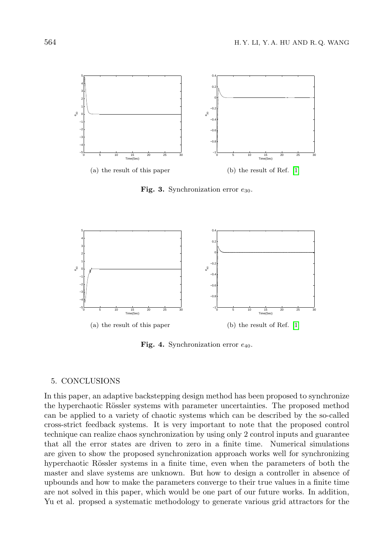

Fig. 3. Synchronization error  $e_{30}$ .



Fig. 4. Synchronization error  $e_{40}$ .

### 5. CONCLUSIONS

In this paper, an adaptive backstepping design method has been proposed to synchronize the hyperchaotic Rössler systems with parameter uncertainties. The proposed method can be applied to a variety of chaotic systems which can be described by the so-called cross-strict feedback systems. It is very important to note that the proposed control technique can realize chaos synchronization by using only 2 control inputs and guarantee that all the error states are driven to zero in a finite time. Numerical simulations are given to show the proposed synchronization approach works well for synchronizing hyperchaotic Rössler systems in a finite time, even when the parameters of both the master and slave systems are unknown. But how to design a controller in absence of upbounds and how to make the parameters converge to their true values in a finite time are not solved in this paper, which would be one part of our future works. In addition, Yu et al. propsed a systematic methodology to generate various grid attractors for the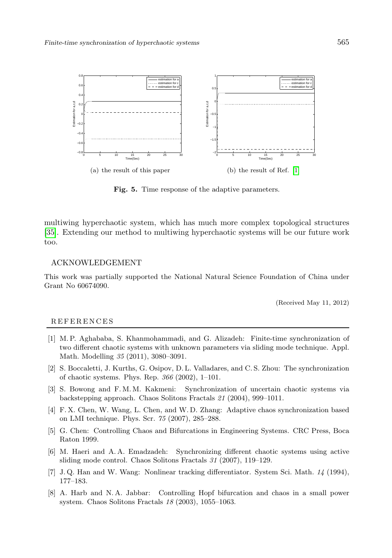

Fig. 5. Time response of the adaptive parameters.

multiwing hyperchaotic system, which has much more complex topological structures [\[35\]](#page-13-12). Extending our method to multiwing hyperchaotic systems will be our future work too.

### ACKNOWLEDGEMENT

This work was partially supported the National Natural Science Foundation of China under Grant No 60674090.

(Received May 11, 2012)

#### **REFERENCES**

- <span id="page-11-6"></span>[1] M. P. Aghababa, S. Khanmohammadi, and G. Alizadeh: Finite-time synchronization of two different chaotic systems with unknown parameters via sliding mode technique. Appl. Math. Modelling 35 (2011), 3080–3091.
- <span id="page-11-2"></span>[2] S. Boccaletti, J. Kurths, G. Osipov, D. L. Valladares, and C. S. Zhou: The synchronization of chaotic systems. Phys. Rep. 366 (2002), 1–101.
- <span id="page-11-3"></span>[3] S. Bowong and F. M. M. Kakmeni: Synchronization of uncertain chaotic systems via backstepping approach. Chaos Solitons Fractals 21 (2004), 999–1011.
- <span id="page-11-4"></span>[4] F. X. Chen, W. Wang, L. Chen, and W. D. Zhang: Adaptive chaos synchronization based on LMI technique. Phys. Scr. 75 (2007), 285–288.
- <span id="page-11-0"></span>[5] G. Chen: Controlling Chaos and Bifurcations in Engineering Systems. CRC Press, Boca Raton 1999.
- <span id="page-11-5"></span>[6] M. Haeri and A. A. Emadzadeh: Synchronizing different chaotic systems using active sliding mode control. Chaos Solitons Fractals 31 (2007), 119–129.
- <span id="page-11-7"></span>[7] J. Q. Han and W. Wang: Nonlinear tracking differentiator. System Sci. Math. 14 (1994), 177–183.
- <span id="page-11-1"></span>[8] A. Harb and N. A. Jabbar: Controlling Hopf bifurcation and chaos in a small power system. Chaos Solitons Fractals 18 (2003), 1055–1063.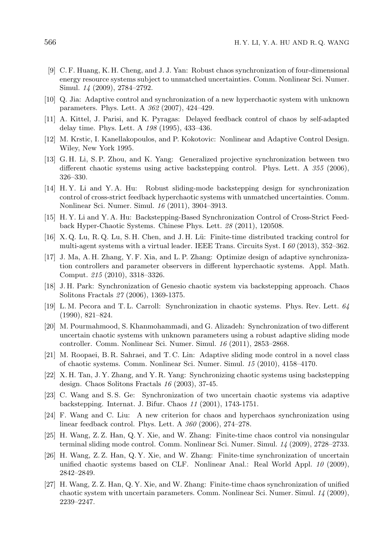- <span id="page-12-6"></span>[9] C. F. Huang, K. H. Cheng, and J. J. Yan: Robust chaos synchronization of four-dimensional energy resource systems subject to unmatched uncertainties. Comm. Nonlinear Sci. Numer. Simul. 14 (2009), 2784–2792.
- <span id="page-12-2"></span>[10] Q. Jia: Adaptive control and synchronization of a new hyperchaotic system with unknown parameters. Phys. Lett. A 362 (2007), 424–429.
- <span id="page-12-5"></span>[11] A. Kittel, J. Parisi, and K. Pyragas: Delayed feedback control of chaos by self-adapted delay time. Phys. Lett. A 198 (1995), 433–436.
- <span id="page-12-11"></span>[12] M. Krstic, I. Kanellakopoulos, and P. Kokotovic: Nonlinear and Adaptive Control Design. Wiley, New York 1995.
- <span id="page-12-13"></span>[13] G. H. Li, S. P. Zhou, and K. Yang: Generalized projective synchronization between two different chaotic systems using active backstepping control. Phys. Lett. A 355 (2006), 326–330.
- <span id="page-12-14"></span>[14] H. Y. Li and Y. A. Hu: Robust sliding-mode backstepping design for synchronization control of cross-strict feedback hyperchaotic systems with unmatched uncertainties. Comm. Nonlinear Sci. Numer. Simul. 16 (2011), 3904–3913.
- <span id="page-12-15"></span>[15] H. Y. Li and Y. A. Hu: Backstepping-Based Synchronization Control of Cross-Strict Feedback Hyper-Chaotic Systems. Chinese Phys. Lett. 28 (2011), 120508.
- <span id="page-12-17"></span>[16] X. Q. Lu, R. Q. Lu, S. H. Chen, and J. H. Lü: Finite-time distributed tracking control for multi-agent systems with a virtual leader. IEEE Trans. Circuits Syst. I 60 (2013), 352–362.
- <span id="page-12-16"></span>[17] J. Ma, A. H. Zhang, Y. F. Xia, and L. P. Zhang: Optimize design of adaptive synchronization controllers and parameter observers in different hyperchaotic systems. Appl. Math. Comput. 215 (2010), 3318–3326.
- <span id="page-12-12"></span>[18] J. H. Park: Synchronization of Genesio chaotic system via backstepping approach. Chaos Solitons Fractals 27 (2006), 1369-1375.
- <span id="page-12-0"></span>[19] L. M. Pecora and T. L. Carroll: Synchronization in chaotic systems. Phys. Rev. Lett. 64 (1990), 821–824.
- <span id="page-12-18"></span>[20] M. Pourmahmood, S. Khanmohammadi, and G. Alizadeh: Synchronization of two different uncertain chaotic systems with unknown parameters using a robust adaptive sliding mode controller. Comm. Nonlinear Sci. Numer. Simul. 16 (2011), 2853–2868.
- <span id="page-12-7"></span>[21] M. Roopaei, B. R. Sahraei, and T. C. Lin: Adaptive sliding mode control in a novel class of chaotic systems. Comm. Nonlinear Sci. Numer. Simul. 15 (2010), 4158–4170.
- <span id="page-12-3"></span>[22] X. H. Tan, J. Y. Zhang, and Y. R. Yang: Synchronizing chaotic systems using backstepping design. Chaos Solitons Fractals 16 (2003), 37-45.
- <span id="page-12-4"></span>[23] C. Wang and S. S. Ge: Synchronization of two uncertain chaotic systems via adaptive backstepping. Internat. J. Bifur. Chaos 11 (2001), 1743-1751.
- <span id="page-12-1"></span>[24] F. Wang and C. Liu: A new criterion for chaos and hyperchaos synchronization using linear feedback control. Phys. Lett. A 360 (2006), 274–278.
- <span id="page-12-8"></span>[25] H. Wang, Z. Z. Han, Q. Y. Xie, and W. Zhang: Finite-time chaos control via nonsingular terminal sliding mode control. Comm. Nonlinear Sci. Numer. Simul. 14 (2009), 2728–2733.
- <span id="page-12-9"></span>[26] H. Wang, Z. Z. Han, Q. Y. Xie, and W. Zhang: Finite-time synchronization of uncertain unified chaotic systems based on CLF. Nonlinear Anal.: Real World Appl. 10 (2009), 2842–2849.
- <span id="page-12-10"></span>[27] H. Wang, Z. Z. Han, Q. Y. Xie, and W. Zhang: Finite-time chaos synchronization of unified chaotic system with uncertain parameters. Comm. Nonlinear Sci. Numer. Simul. 14 (2009), 2239–2247.